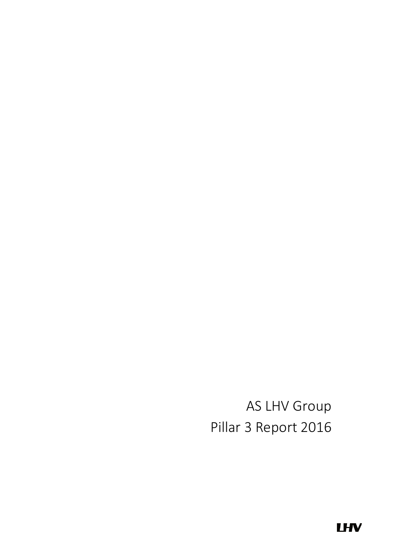AS LHV Group Pillar 3 Report 2016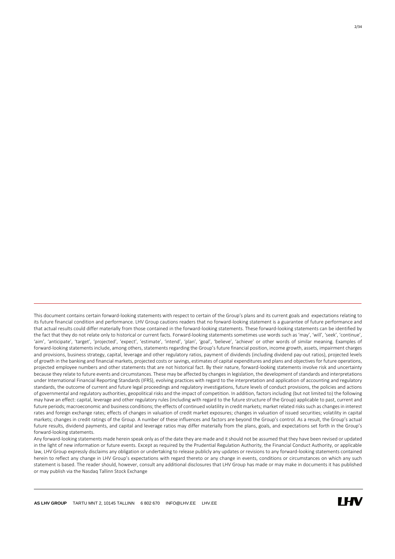This document contains certain forward-looking statements with respect to certain of the Group's plans and its current goals and expectations relating to its future financial condition and performance. LHV Group cautions readers that no forward-looking statement is a guarantee of future performance and that actual results could differ materially from those contained in the forward-looking statements. These forward-looking statements can be identified by the fact that they do not relate only to historical or current facts. Forward-looking statements sometimes use words such as 'may', 'will', 'seek', 'continue', 'aim', 'anticipate', 'target', 'projected', 'expect', 'estimate', 'intend', 'plan', 'goal', 'believe', 'achieve' or other words of similar meaning. Examples of forward-looking statements include, among others, statements regarding the Group's future financial position, income growth, assets, impairment charges and provisions, business strategy, capital, leverage and other regulatory ratios, payment of dividends (including dividend pay-out ratios), projected levels of growth in the banking and financial markets, projected costs or savings, estimates of capital expenditures and plans and objectives for future operations, projected employee numbers and other statements that are not historical fact. By their nature, forward-looking statements involve risk and uncertainty because they relate to future events and circumstances. These may be affected by changes in legislation, the development of standards and interpretations under International Financial Reporting Standards (IFRS), evolving practices with regard to the interpretation and application of accounting and regulatory standards, the outcome of current and future legal proceedings and regulatory investigations, future levels of conduct provisions, the policies and actions of governmental and regulatory authorities, geopolitical risks and the impact of competition. In addition, factors including (but not limited to) the following may have an effect: capital, leverage and other regulatory rules (including with regard to the future structure of the Group) applicable to past, current and future periods; macroeconomic and business conditions; the effects of continued volatility in credit markets; market related risks such as changes in interest rates and foreign exchange rates; effects of changes in valuation of credit market exposures; changes in valuation of issued securities; volatility in capital markets; changes in credit ratings of the Group. A number of these influences and factors are beyond the Group's control. As a result, the Group's actual future results, dividend payments, and capital and leverage ratios may differ materially from the plans, goals, and expectations set forth in the Group's forward-looking statements.

Any forward-looking statements made herein speak only as of the date they are made and it should not be assumed that they have been revised or updated in the light of new information or future events. Except as required by the Prudential Regulation Authority, the Financial Conduct Authority, or applicable law, LHV Group expressly disclaims any obligation or undertaking to release publicly any updates or revisions to any forward-looking statements contained herein to reflect any change in LHV Group's expectations with regard thereto or any change in events, conditions or circumstances on which any such statement is based. The reader should, however, consult any additional disclosures that LHV Group has made or may make in documents it has published or may publish via the Nasdaq Tallinn Stock Exchange

 $\overline{a}$ 

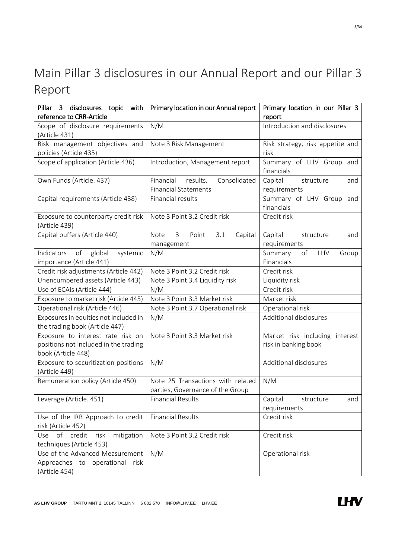# <span id="page-2-0"></span>Main Pillar 3 disclosures in our Annual Report and our Pillar 3 Report

| Pillar 3 disclosures topic with<br>reference to CRR-Article                                      | Primary location in our Annual report                                 | Primary location in our Pillar 3<br>report             |  |  |
|--------------------------------------------------------------------------------------------------|-----------------------------------------------------------------------|--------------------------------------------------------|--|--|
| Scope of disclosure requirements<br>(Article 431)                                                | N/M                                                                   | Introduction and disclosures                           |  |  |
| Risk management objectives and<br>policies (Article 435)                                         | Note 3 Risk Management                                                | Risk strategy, risk appetite and<br>risk               |  |  |
| Scope of application (Article 436)                                                               | Introduction, Management report                                       | Summary of LHV Group and<br>financials                 |  |  |
| Own Funds (Article. 437)                                                                         | Financial<br>results,<br>Consolidated<br><b>Financial Statements</b>  | Capital<br>structure<br>and<br>requirements            |  |  |
| Capital requirements (Article 438)                                                               | Financial results                                                     | Summary of LHV Group and<br>financials                 |  |  |
| Exposure to counterparty credit risk<br>(Article 439)                                            | Note 3 Point 3.2 Credit risk                                          | Credit risk                                            |  |  |
| Capital buffers (Article 440)                                                                    | <b>Note</b><br>$\mathbf{3}$<br>Point<br>3.1<br>Capital<br>management  | Capital<br>structure<br>and<br>requirements            |  |  |
| of<br>Indicators<br>global<br>systemic<br>importance (Article 441)                               | N/M                                                                   | Summary<br>of<br>LHV<br>Group<br>Financials            |  |  |
| Credit risk adjustments (Article 442)                                                            | Note 3 Point 3.2 Credit risk                                          | Credit risk                                            |  |  |
| Unencumbered assets (Article 443)                                                                | Note 3 Point 3.4 Liquidity risk                                       | Liquidity risk                                         |  |  |
| Use of ECAIs (Article 444)                                                                       | N/M                                                                   | Credit risk                                            |  |  |
| Exposure to market risk (Article 445)                                                            | Note 3 Point 3.3 Market risk                                          | Market risk                                            |  |  |
| Operational risk (Article 446)                                                                   | Note 3 Point 3.7 Operational risk                                     | Operational risk                                       |  |  |
| Exposures in equities not included in<br>the trading book (Article 447)                          | N/M                                                                   | Additional disclosures                                 |  |  |
| Exposure to interest rate risk on<br>positions not included in the trading<br>book (Article 448) | Note 3 Point 3.3 Market risk                                          | Market risk including interest<br>risk in banking book |  |  |
| Exposure to securitization positions<br>(Article 449)                                            | N/M                                                                   | Additional disclosures                                 |  |  |
| Remuneration policy (Article 450)                                                                | Note 25 Transactions with related<br>parties, Governance of the Group | N/M                                                    |  |  |
| Leverage (Article. 451)                                                                          | Financial Results                                                     | and<br>Capital<br>structure<br>requirements            |  |  |
| Use of the IRB Approach to credit<br>risk (Article 452)                                          | <b>Financial Results</b>                                              | Credit risk                                            |  |  |
| Use of credit risk<br>mitigation<br>techniques (Article 453)                                     | Note 3 Point 3.2 Credit risk                                          | Credit risk                                            |  |  |
| Use of the Advanced Measurement<br>Approaches to operational risk<br>(Article 454)               | N/M                                                                   | Operational risk                                       |  |  |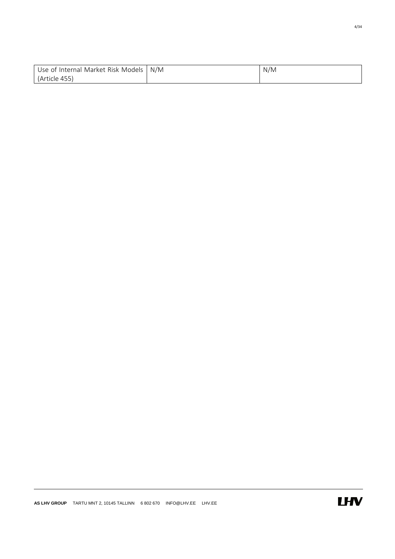| Use of Internal Market Risk Models | N/M | N/M |
|------------------------------------|-----|-----|
| (Article 455)                      |     |     |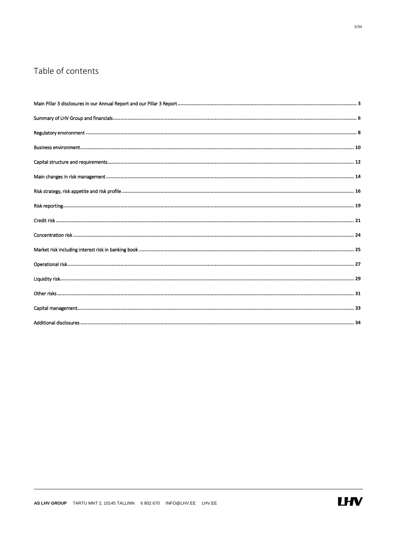### Table of contents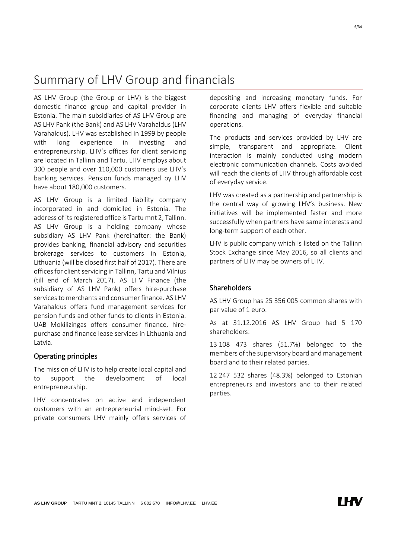#### **AS LHV GROUP** TARTU MNT 2, 10145 TALLINN 6 802 670 INFO@LHV.EE LHV.EE

#### AS LHV Group (the Group or LHV) is the biggest domestic finance group and capital provider in Estonia. The main subsidiaries of AS LHV Group are AS LHV Pank (the Bank) and AS LHV Varahaldus (LHV Varahaldus). LHV was established in 1999 by people with long experience in investing and entrepreneurship. LHV's offices for client servicing are located in Tallinn and Tartu. LHV employs about 300 people and over 110,000 customers use LHV's banking services. Pension funds managed by LHV have about 180,000 customers.

<span id="page-5-0"></span>Summary of LHV Group and financials

AS LHV Group is a limited liability company incorporated in and domiciled in Estonia. The address of its registered office is Tartu mnt 2, Tallinn. AS LHV Group is a holding company whose subsidiary AS LHV Pank (hereinafter: the Bank) provides banking, financial advisory and securities brokerage services to customers in Estonia, Lithuania (will be closed first half of 2017). There are offices for client servicing in Tallinn, Tartu and Vilnius (till end of March 2017). AS LHV Finance (the subsidiary of AS LHV Pank) offers hire-purchase services to merchants and consumer finance. AS LHV Varahaldus offers fund management services for pension funds and other funds to clients in Estonia. UAB Mokilizingas offers consumer finance, hirepurchase and finance lease services in Lithuania and Latvia.

#### Operating principles

The mission of LHV is to help create local capital and to support the development of local entrepreneurship.

LHV concentrates on active and independent customers with an entrepreneurial mind-set. For private consumers LHV mainly offers services of depositing and increasing monetary funds. For corporate clients LHV offers flexible and suitable financing and managing of everyday financial operations.

The products and services provided by LHV are simple, transparent and appropriate. Client interaction is mainly conducted using modern electronic communication channels. Costs avoided will reach the clients of LHV through affordable cost of everyday service.

LHV was created as a partnership and partnership is the central way of growing LHV's business. New initiatives will be implemented faster and more successfully when partners have same interests and long-term support of each other.

LHV is public company which is listed on the Tallinn Stock Exchange since May 2016, so all clients and partners of LHV may be owners of LHV.

#### Shareholders

AS LHV Group has 25 356 005 common shares with par value of 1 euro.

As at 31.12.2016 AS LHV Group had 5 170 shareholders:

13 108 473 shares (51.7%) belonged to the members of the supervisory board and management board and to their related parties.

12 247 532 shares (48.3%) belonged to Estonian entrepreneurs and investors and to their related parties.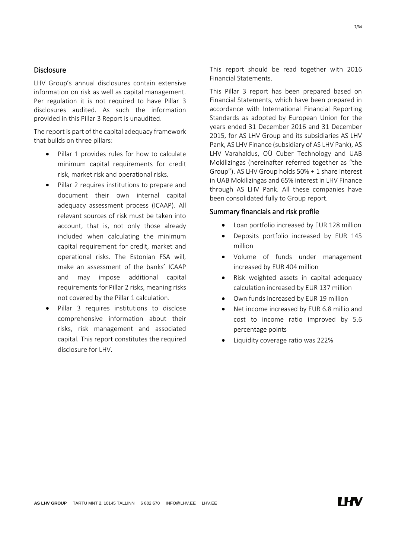#### **Disclosure**

LHV Group's annual disclosures contain extensive information on risk as well as capital management. Per regulation it is not required to have Pillar 3 disclosures audited. As such the information provided in this Pillar 3 Report is unaudited.

The report is part of the capital adequacy framework that builds on three pillars:

- Pillar 1 provides rules for how to calculate minimum capital requirements for credit risk, market risk and operational risks.
- Pillar 2 requires institutions to prepare and document their own internal capital adequacy assessment process (ICAAP). All relevant sources of risk must be taken into account, that is, not only those already included when calculating the minimum capital requirement for credit, market and operational risks. The Estonian FSA will, make an assessment of the banks' ICAAP and may impose additional capital requirements for Pillar 2 risks, meaning risks not covered by the Pillar 1 calculation.
- Pillar 3 requires institutions to disclose comprehensive information about their risks, risk management and associated capital. This report constitutes the required disclosure for LHV.

This report should be read together with 2016 Financial Statements.

This Pillar 3 report has been prepared based on Financial Statements, which have been prepared in accordance with International Financial Reporting Standards as adopted by European Union for the years ended 31 December 2016 and 31 December 2015, for AS LHV Group and its subsidiaries AS LHV Pank, AS LHV Finance (subsidiary of AS LHV Pank), AS LHV Varahaldus, OÜ Cuber Technology and UAB Mokilizingas (hereinafter referred together as "the Group"). AS LHV Group holds 50% + 1 share interest in UAB Mokilizingas and 65% interest in LHV Finance through AS LHV Pank. All these companies have been consolidated fully to Group report.

#### Summary financials and risk profile

- Loan portfolio increased by EUR 128 million
- Deposits portfolio increased by EUR 145 million
- Volume of funds under management increased by EUR 404 million
- Risk weighted assets in capital adequacy calculation increased by EUR 137 million
- Own funds increased by EUR 19 million
- Net income increased by EUR 6.8 millio and cost to income ratio improved by 5.6 percentage points
- Liquidity coverage ratio was 222%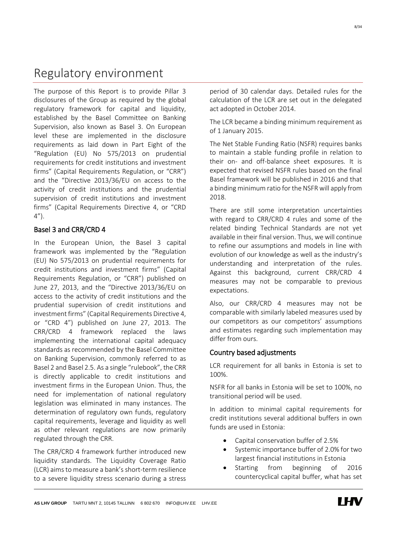### <span id="page-7-0"></span>Regulatory environment

The purpose of this Report is to provide Pillar 3 disclosures of the Group as required by the global regulatory framework for capital and liquidity, established by the Basel Committee on Banking Supervision, also known as Basel 3. On European level these are implemented in the disclosure requirements as laid down in Part Eight of the "Regulation (EU) No 575/2013 on prudential requirements for credit institutions and investment firms" (Capital Requirements Regulation, or "CRR") and the "Directive 2013/36/EU on access to the activity of credit institutions and the prudential supervision of credit institutions and investment firms" (Capital Requirements Directive 4, or "CRD  $4'$ ).

#### Basel 3 and CRR/CRD 4

In the European Union, the Basel 3 capital framework was implemented by the "Regulation (EU) No 575/2013 on prudential requirements for credit institutions and investment firms" (Capital Requirements Regulation, or "CRR") published on June 27, 2013, and the "Directive 2013/36/EU on access to the activity of credit institutions and the prudential supervision of credit institutions and investment firms" (Capital Requirements Directive 4, or "CRD 4") published on June 27, 2013. The CRR/CRD 4 framework replaced the laws implementing the international capital adequacy standards as recommended by the Basel Committee on Banking Supervision, commonly referred to as Basel 2 and Basel 2.5. As a single "rulebook", the CRR is directly applicable to credit institutions and investment firms in the European Union. Thus, the need for implementation of national regulatory legislation was eliminated in many instances. The determination of regulatory own funds, regulatory capital requirements, leverage and liquidity as well as other relevant regulations are now primarily regulated through the CRR.

The CRR/CRD 4 framework further introduced new liquidity standards. The Liquidity Coverage Ratio (LCR) aims to measure a bank's short-term resilience to a severe liquidity stress scenario during a stress

period of 30 calendar days. Detailed rules for the calculation of the LCR are set out in the delegated act adopted in October 2014.

The LCR became a binding minimum requirement as of 1 January 2015.

The Net Stable Funding Ratio (NSFR) requires banks to maintain a stable funding profile in relation to their on- and off-balance sheet exposures. It is expected that revised NSFR rules based on the final Basel framework will be published in 2016 and that a binding minimum ratio for the NSFR will apply from 2018.

There are still some interpretation uncertainties with regard to CRR/CRD 4 rules and some of the related binding Technical Standards are not yet available in their final version. Thus, we will continue to refine our assumptions and models in line with evolution of our knowledge as well as the industry's understanding and interpretation of the rules. Against this background, current CRR/CRD 4 measures may not be comparable to previous expectations.

Also, our CRR/CRD 4 measures may not be comparable with similarly labeled measures used by our competitors as our competitors' assumptions and estimates regarding such implementation may differ from ours.

#### Country based adjustments

LCR requirement for all banks in Estonia is set to 100%.

NSFR for all banks in Estonia will be set to 100%, no transitional period will be used.

In addition to minimal capital requirements for credit institutions several additional buffers in own funds are used in Estonia:

- Capital conservation buffer of 2.5%
- Systemic importance buffer of 2.0% for two largest financial institutions in Estonia
- Starting from beginning of 2016 countercyclical capital buffer, what has set

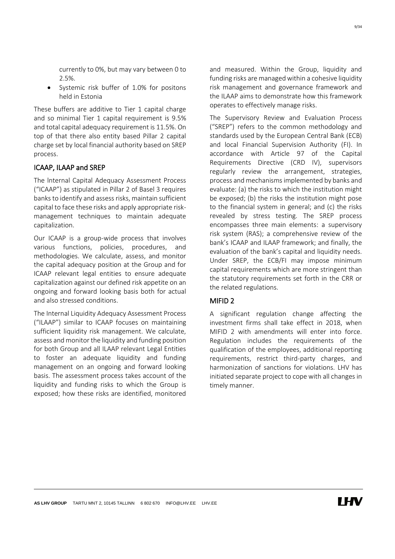currently to 0%, but may vary between 0 to 2.5%.

 Systemic risk buffer of 1.0% for positons held in Estonia

These buffers are additive to Tier 1 capital charge and so minimal Tier 1 capital requirement is 9.5% and total capital adequacy requirement is 11.5%. On top of that there also entity based Pillar 2 capital charge set by local financial authority based on SREP process.

#### ICAAP, ILAAP and SREP

The lnternal Capital Adequacy Assessment Process ("ICAAP") as stipulated in Pillar 2 of Basel 3 requires banks to identify and assess risks, maintain sufficient capital to face these risks and apply appropriate riskmanagement techniques to maintain adequate capitalization.

Our ICAAP is a group-wide process that involves various functions, policies, procedures, and methodologies. We calculate, assess, and monitor the capital adequacy position at the Group and for ICAAP relevant legal entities to ensure adequate capitalization against our defined risk appetite on an ongoing and forward looking basis both for actual and also stressed conditions.

The Internal Liquidity Adequacy Assessment Process ("ILAAP") similar to ICAAP focuses on maintaining sufficient liquidity risk management. We calculate, assess and monitor the liquidity and funding position for both Group and all ILAAP relevant Legal Entities to foster an adequate liquidity and funding management on an ongoing and forward looking basis. The assessment process takes account of the liquidity and funding risks to which the Group is exposed; how these risks are identified, monitored and measured. Within the Group, liquidity and funding risks are managed within a cohesive liquidity risk management and governance framework and the ILAAP aims to demonstrate how this framework operates to effectively manage risks.

The Supervisory Review and Evaluation Process ("SREP") refers to the common methodology and standards used by the European Central Bank (ECB) and local Financial Supervision Authority (FI). In accordance with Article 97 of the Capital Requirements Directive (CRD IV), supervisors regularly review the arrangement, strategies, process and mechanisms implemented by banks and evaluate: (a) the risks to which the institution might be exposed; (b) the risks the institution might pose to the financial system in general; and (c) the risks revealed by stress testing. The SREP process encompasses three main elements: a supervisory risk system (RAS); a comprehensive review of the bank's ICAAP and ILAAP framework; and finally, the evaluation of the bank's capital and liquidity needs. Under SREP, the ECB/FI may impose minimum capital requirements which are more stringent than the statutory requirements set forth in the CRR or the related regulations.

#### MIFID 2

A significant regulation change affecting the investment firms shall take effect in 2018, when MIFID 2 with amendments will enter into force. Regulation includes the requirements of the qualification of the employees, additional reporting requirements, restrict third-party charges, and harmonization of sanctions for violations. LHV has initiated separate project to cope with all changes in timely manner.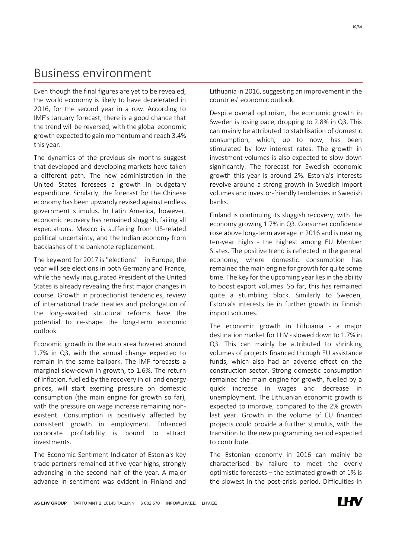### <span id="page-9-0"></span>Business environment

Even though the final figures are yet to be revealed, the world economy is likely to have decelerated in 2016, for the second year in a row. According to IMF's January forecast, there is a good chance that the trend will be reversed, with the global economic growth expected to gain momentum and reach 3.4% this year.

The dynamics of the previous six months suggest that developed and developing markets have taken a different path. The new administration in the United States foresees a growth in budgetary expenditure. Similarly, the forecast for the Chinese economy has been upwardly revised against endless government stimulus. In Latin America, however, economic recovery has remained sluggish, failing all expectations. Mexico is suffering from US-related political uncertainty, and the Indian economy from backlashes of the banknote replacement.

The keyword for 2017 is "elections" – in Europe, the year will see elections in both Germany and France, while the newly inaugurated President of the United States is already revealing the first major changes in course. Growth in protectionist tendencies, review of international trade treaties and prolongation of the long-awaited structural reforms have the potential to re-shape the long-term economic outlook.

Economic growth in the euro area hovered around 1.7% in Q3, with the annual change expected to remain in the same ballpark. The IMF forecasts a marginal slow-down in growth, to 1.6%. The return of inflation, fuelled by the recovery in oil and energy prices, will start exerting pressure on domestic consumption (the main engine for growth so far), with the pressure on wage increase remaining nonexistent. Consumption is positively affected by consistent growth in employment. Enhanced corporate profitability is bound to attract investments.

The Economic Sentiment Indicator of Estonia's key trade partners remained at five-year highs, strongly advancing in the second half of the year. A major advance in sentiment was evident in Finland and Lithuania in 2016, suggesting an improvement in the countries' economic outlook.

Despite overall optimism, the economic growth in Sweden is losing pace, dropping to 2.8% in Q3. This can mainly be attributed to stabilisation of domestic consumption, which, up to now, has been stimulated by low interest rates. The growth in investment volumes is also expected to slow down significantly. The forecast for Swedish economic growth this year is around 2%. Estonia's interests revolve around a strong growth in Swedish import volumes and investor-friendly tendencies in Swedish banks.

Finland is continuing its sluggish recovery, with the economy growing 1.7% in Q3. Consumer confidence rose above long-term average in 2016 and is nearing ten-year highs - the highest among EU Member States. The positive trend is reflected in the general economy, where domestic consumption has remained the main engine for growth for quite some time. The key for the upcoming year lies in the ability to boost export volumes. So far, this has remained quite a stumbling block. Similarly to Sweden, Estonia's interests lie in further growth in Finnish import volumes.

The economic growth in Lithuania - a major destination market for LHV - slowed down to 1.7% in Q3. This can mainly be attributed to shrinking volumes of projects financed through EU assistance funds, which also had an adverse effect on the construction sector. Strong domestic consumption remained the main engine for growth, fuelled by a quick increase in wages and decrease in unemployment. The Lithuanian economic growth is expected to improve, compared to the 2% growth last year. Growth in the volume of EU financed projects could provide a further stimulus, with the transition to the new programming period expected to contribute.

The Estonian economy in 2016 can mainly be characterised by failure to meet the overly optimistic forecasts – the estimated growth of 1% is the slowest in the post-crisis period. Difficulties in

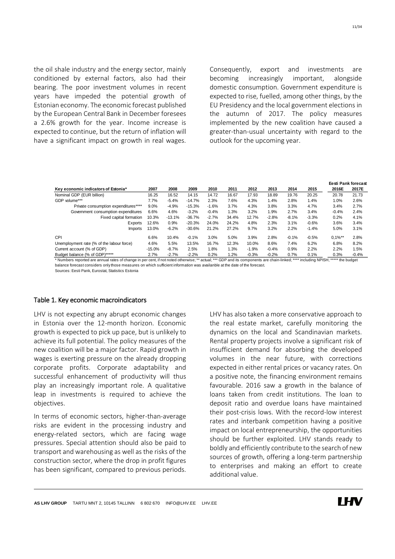the oil shale industry and the energy sector, mainly conditioned by external factors, also had their bearing. The poor investment volumes in recent years have impeded the potential growth of Estonian economy. The economic forecast published by the European Central Bank in December foresees a 2.6% growth for the year. Income increase is expected to continue, but the return of inflation will have a significant impact on growth in real wages. Consequently, export and investments are becoming increasingly important, alongside domestic consumption. Government expenditure is expected to rise, fuelled, among other things, by the EU Presidency and the local government elections in the autumn of 2017. The policy measures implemented by the new coalition have caused a greater-than-usual uncertainty with regard to the outlook for the upcoming year.

|                                                                                                                                                                  |          |          |          |         |       |         |         |         |         |                  | <b>Eesti Pank forecast</b> |
|------------------------------------------------------------------------------------------------------------------------------------------------------------------|----------|----------|----------|---------|-------|---------|---------|---------|---------|------------------|----------------------------|
| Key economic indicators of Estonia*                                                                                                                              | 2007     | 2008     | 2009     | 2010    | 2011  | 2012    | 2013    | 2014    | 2015    | 2016E            | 2017E                      |
| Nominal GDP (EUR billion)                                                                                                                                        | 16.25    | 16.52    | 14.15    | 14.72   | 16.67 | 17.93   | 18.89   | 19.76   | 20.25   | 20.78            | 21.73                      |
| GDP volume***                                                                                                                                                    | 7.7%     | $-5.4%$  | $-14.7%$ | 2.3%    | 7.6%  | 4.3%    | 1.4%    | 2.8%    | 1.4%    | 1.0%             | 2.6%                       |
| Private consumption expenditures****                                                                                                                             | 9.0%     | $-4.9%$  | $-15.3%$ | $-1.6%$ | 3.7%  | 4.3%    | 3.8%    | 3.3%    | 4.7%    | 3.4%             | 2.7%                       |
| Government consumption expenditures                                                                                                                              | 6.6%     | 4.6%     | $-3.2%$  | $-0.4%$ | 1.3%  | 3.2%    | 1.9%    | 2.7%    | 3.4%    | $-0.4%$          | 2.4%                       |
| Fixed capital formation                                                                                                                                          | 10.3%    | $-13.1%$ | $-36.7%$ | $-2.7%$ | 34.4% | 12.7%   | $-2.8%$ | $-8.1%$ | $-3.3%$ | 0.2%             | 4.1%                       |
| Exports                                                                                                                                                          | 12.6%    | 0.9%     | $-20.3%$ | 24.0%   | 24.2% | 4.8%    | 2.3%    | 3.1%    | $-0.6%$ | 3.6%             | 3.4%                       |
| <b>Imports</b>                                                                                                                                                   | 13.0%    | $-6.2%$  | $-30.6%$ | 21.2%   | 27.2% | 9.7%    | 3.2%    | 2.2%    | $-1.4%$ | 5.0%             | 3.1%                       |
| CPI                                                                                                                                                              | 6.6%     | 10.4%    | $-0.1%$  | 3.0%    | 5.0%  | 3.9%    | 2.8%    | $-0.1%$ | $-0.5%$ | $0.1\%$ **       | 2.8%                       |
| Unemployment rate (% of the labour force)                                                                                                                        | 4.6%     | 5.5%     | 13.5%    | 16.7%   | 12.3% | 10.0%   | 8.6%    | 7.4%    | 6.2%    | 6.8%             | 8.2%                       |
| Current account (% of GDP)                                                                                                                                       | $-15.0%$ | $-8.7%$  | 2.5%     | 1.8%    | 1.3%  | $-1.9%$ | $-0.4%$ | 0.9%    | 2.2%    | 2.2%             | 1.5%                       |
| Budget balance (% of GDP)*****                                                                                                                                   | 2.7%     | $-2.7%$  | $-2.2%$  | 0.2%    | 1.2%  | $-0.3%$ | $-0.2%$ | 0.7%    | 0.1%    | 0.3%             | $-0.4%$                    |
| * Numbers reported are annual rates of change in per cent, if not noted otherwise; ** actual; *** GDP and its components are chain-linked; **** including NPISH; |          |          |          |         |       |         |         |         |         | ***** the budget |                            |

balance forecast considers only those measures on which sufficient information was availanble at the date of the forecast. Sources: Eesti Pank, Eurostat, Statistics Estonia

#### Table 1. Key economic macroindicators

LHV is not expecting any abrupt economic changes in Estonia over the 12-month horizon. Economic growth is expected to pick up pace, but is unlikely to achieve its full potential. The policy measures of the new coalition will be a major factor. Rapid growth in wages is exerting pressure on the already dropping corporate profits. Corporate adaptability and successful enhancement of productivity will thus play an increasingly important role. A qualitative leap in investments is required to achieve the objectives.

In terms of economic sectors, higher-than-average risks are evident in the processing industry and energy-related sectors, which are facing wage pressures. Special attention should also be paid to transport and warehousing as well as the risks of the construction sector, where the drop in profit figures has been significant, compared to previous periods. LHV has also taken a more conservative approach to the real estate market, carefully monitoring the dynamics on the local and Scandinavian markets. Rental property projects involve a significant risk of insufficient demand for absorbing the developed volumes in the near future, with corrections expected in either rental prices or vacancy rates. On a positive note, the financing environment remains favourable. 2016 saw a growth in the balance of loans taken from credit institutions. The loan to deposit ratio and overdue loans have maintained their post-crisis lows. With the record-low interest rates and interbank competition having a positive impact on local entrepreneurship, the opportunities should be further exploited. LHV stands ready to boldly and efficiently contribute to the search of new sources of growth, offering a long-term partnership to enterprises and making an effort to create additional value.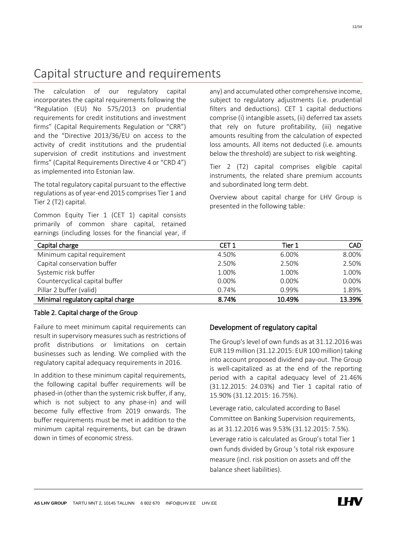### <span id="page-11-0"></span>Capital structure and requirements

The calculation of our regulatory capital incorporates the capital requirements following the "Regulation (EU) No 575/2013 on prudential requirements for credit institutions and investment firms" (Capital Requirements Regulation or "CRR") and the "Directive 2013/36/EU on access to the activity of credit institutions and the prudential supervision of credit institutions and investment firms" (Capital Requirements Directive 4 or "CRD 4") as implemented into Estonian law.

The total regulatory capital pursuant to the effective regulations as of year-end 2015 comprises Tier 1 and Tier 2 (T2) capital.

Common Equity Tier 1 (CET 1) capital consists primarily of common share capital, retained earnings (including losses for the financial year, if any) and accumulated other comprehensive income, subject to regulatory adjustments (i.e. prudential filters and deductions). CET 1 capital deductions comprise (i) intangible assets, (ii) deferred tax assets that rely on future profitability, (iii) negative amounts resulting from the calculation of expected loss amounts. All items not deducted (i.e. amounts below the threshold) are subject to risk weighting.

Tier 2 (T2) capital comprises eligible capital instruments, the related share premium accounts and subordinated long term debt.

Overview about capital charge for LHV Group is presented in the following table:

| Capital charge                    | CET <sub>1</sub> | Tier 1 | <b>CAD</b> |
|-----------------------------------|------------------|--------|------------|
| Minimum capital requirement       | 4.50%            | 6.00%  | 8.00%      |
| Capital conservation buffer       | 2.50%            | 2.50%  | 2.50%      |
| Systemic risk buffer              | 1.00%            | 1.00%  | 1.00%      |
| Countercyclical capital buffer    | 0.00%            | 0.00%  | 0.00%      |
| Pillar 2 buffer (valid)           | 0.74%            | 0.99%  | 1.89%      |
| Minimal regulatory capital charge | 8.74%            | 10.49% | 13.39%     |

#### Table 2. Capital charge of the Group

Failure to meet minimum capital requirements can result in supervisory measures such as restrictions of profit distributions or limitations on certain businesses such as lending. We complied with the regulatory capital adequacy requirements in 2016.

In addition to these minimum capital requirements, the following capital buffer requirements will be phased-in (other than the systemic risk buffer, if any, which is not subject to any phase-in) and will become fully effective from 2019 onwards. The buffer requirements must be met in addition to the minimum capital requirements, but can be drawn down in times of economic stress.

#### Development of regulatory capital

The Group's level of own funds as at 31.12.2016 was EUR 119 million (31.12.2015: EUR 100 million) taking into account proposed dividend pay-out. The Group is well-capitalized as at the end of the reporting period with a capital adequacy level of 21.46% (31.12.2015: 24.03%) and Tier 1 capital ratio of 15.90% (31.12.2015: 16.75%).

Leverage ratio, calculated according to Basel Committee on Banking Supervision requirements, as at 31.12.2016 was 9.53% (31.12.2015: 7.5%). Leverage ratio is calculated as Group's total Tier 1 own funds divided by Group 's total risk exposure measure (incl. risk position on assets and off the balance sheet liabilities).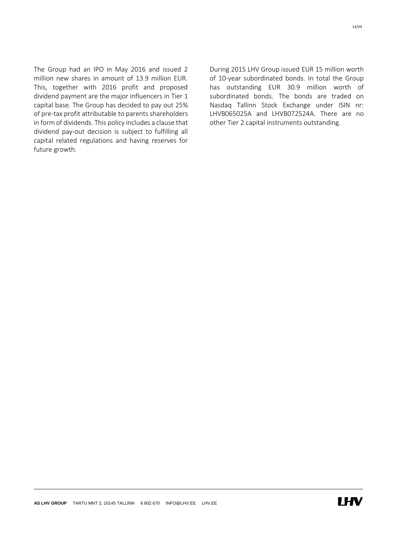The Group had an IPO in May 2016 and issued 2 million new shares in amount of 13.9 million EUR. This, together with 2016 profit and proposed dividend payment are the major influencers in Tier 1 capital base. The Group has decided to pay out 25% of pre-tax profit attributable to parents shareholders in form of dividends. This policy includes a clause that dividend pay-out decision is subject to fulfilling all capital related regulations and having reserves for future growth.

During 2015 LHV Group issued EUR 15 million worth of 10-year subordinated bonds. In total the Group has outstanding EUR 30.9 million worth of subordinated bonds. The bonds are traded on Nasdaq Tallinn Stock Exchange under ISIN nr: LHVB065025A and LHVB072524A. There are no other Tier 2 capital instruments outstanding.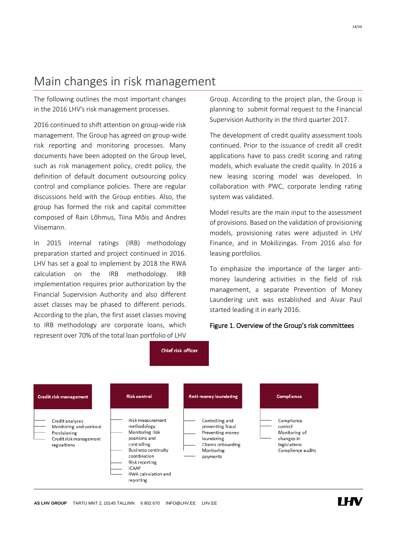### <span id="page-13-0"></span>Main changes in risk management

The following outlines the most important changes in the 2016 LHV's risk management processes.

2016 continued to shift attention on group-wide risk management. The Group has agreed on group-wide risk reporting and monitoring processes. Many documents have been adopted on the Group level, such as risk management policy, credit policy, the definition of default document outsourcing policy control and compliance policies. There are regular discussions held with the Group entities. Also, the group has formed the risk and capital committee composed of Rain Lõhmus, Tiina Mõis and Andres Viisemann.

In 2015 internal ratings (IRB) methodology preparation started and project continued in 2016. LHV has set a goal to implement by 2018 the RWA calculation on the IRB methodology. IRB implementation requires prior authorization by the Financial Supervision Authority and also different asset classes may be phased to different periods. According to the plan, the first asset classes moving to IRB methodology are corporate loans, which represent over 70% of the total loan portfolio of LHV Group. According to the project plan, the Group is planning to submit formal request to the Financial Supervision Authority in the third quarter 2017.

The development of credit quality assessment tools continued. Prior to the issuance of credit all credit applications have to pass credit scoring and rating models, which evaluate the credit quality. In 2016 a new leasing scoring model was developed. In collaboration with PWC, corporate lending rating system was validated.

Model results are the main input to the assessment of provisions. Based on the validation of provisioning models, provisioning rates were adjusted in LHV Finance, and in Mokilizingas. From 2016 also for leasing portfolios.

To emphasize the importance of the larger antimoney laundering activities in the field of risk management, a separate Prevention of Money Laundering unit was established and Aivar Paul started leading it in early 2016.

#### Figure 1. Overview of the Group's risk committees

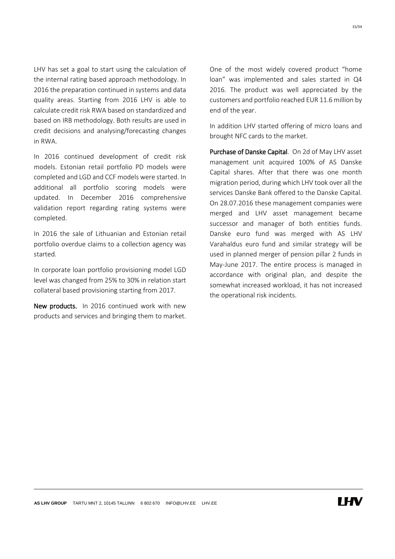LHV has set a goal to start using the calculation of the internal rating based approach methodology. In 2016 the preparation continued in systems and data quality areas. Starting from 2016 LHV is able to calculate credit risk RWA based on standardized and based on IRB methodology. Both results are used in credit decisions and analysing/forecasting changes in RWA.

In 2016 continued development of credit risk models. Estonian retail portfolio PD models were completed and LGD and CCF models were started. In additional all portfolio scoring models were updated. In December 2016 comprehensive validation report regarding rating systems were completed.

In 2016 the sale of Lithuanian and Estonian retail portfolio overdue claims to a collection agency was started.

In corporate loan portfolio provisioning model LGD level was changed from 25% to 30% in relation start collateral based provisioning starting from 2017.

New products. In 2016 continued work with new products and services and bringing them to market. One of the most widely covered product "home loan" was implemented and sales started in Q4 2016. The product was well appreciated by the customers and portfolio reached EUR 11.6 million by end of the year.

In addition LHV started offering of micro loans and brought NFC cards to the market.

Purchase of Danske Capital. On 2d of May LHV asset management unit acquired 100% of AS Danske Capital shares. After that there was one month migration period, during which LHV took over all the services Danske Bank offered to the Danske Capital. On 28.07.2016 these management companies were merged and LHV asset management became successor and manager of both entities funds. Danske euro fund was merged with AS LHV Varahaldus euro fund and similar strategy will be used in planned merger of pension pillar 2 funds in May-June 2017. The entire process is managed in accordance with original plan, and despite the somewhat increased workload, it has not increased the operational risk incidents.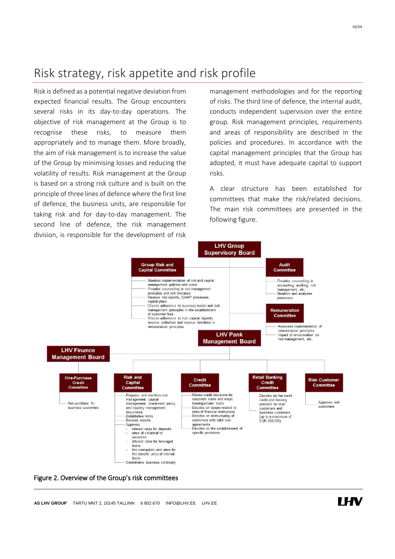### <span id="page-15-0"></span>Risk strategy, risk appetite and risk profile

Risk is defined as a potential negative deviation from expected financial results. The Group encounters several risks in its day-to-day operations. The objective of risk management at the Group is to recognise these risks, to measure them appropriately and to manage them. More broadly, the aim of risk management is to increase the value of the Group by minimising losses and reducing the volatility of results. Risk management at the Group is based on a strong risk culture and is built on the principle of three lines of defence where the first line of defence, the business units, are responsible for taking risk and for day-to-day management. The second line of defence, the risk management division, is responsible for the development of risk

management methodologies and for the reporting of risks. The third line of defence, the internal audit, conducts independent supervision over the entire group. Risk management principles, requirements and areas of responsibility are described in the policies and procedures. In accordance with the capital management principles that the Group has adopted, it must have adequate capital to support risks.

A clear structure has been established for committees that make the risk/related decisions. The main risk committees are presented in the following figure.



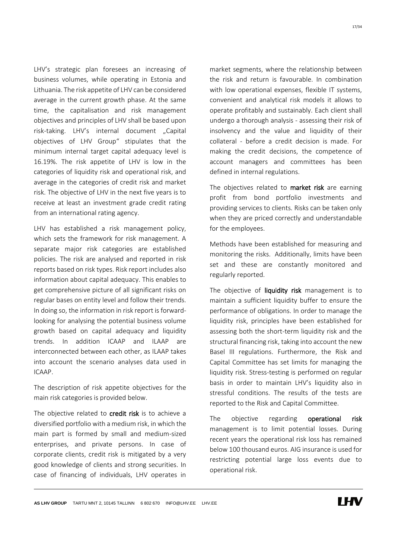LHV's strategic plan foresees an increasing of business volumes, while operating in Estonia and Lithuania. The risk appetite of LHV can be considered average in the current growth phase. At the same time, the capitalisation and risk management objectives and principles of LHV shall be based upon risk-taking. LHV's internal document "Capital objectives of LHV Group" stipulates that the minimum internal target capital adequacy level is 16.19%. The risk appetite of LHV is low in the categories of liquidity risk and operational risk, and average in the categories of credit risk and market risk. The objective of LHV in the next five years is to receive at least an investment grade credit rating from an international rating agency.

LHV has established a risk management policy, which sets the framework for risk management. A separate major risk categories are established policies. The risk are analysed and reported in risk reports based on risk types. Risk report includes also information about capital adequacy. This enables to get comprehensive picture of all significant risks on regular bases on entity level and follow their trends. In doing so, the information in risk report is forwardlooking for analysing the potential business volume growth based on capital adequacy and liquidity trends. In addition ICAAP and ILAAP are interconnected between each other, as ILAAP takes into account the scenario analyses data used in ICAAP.

The description of risk appetite objectives for the main risk categories is provided below.

The objective related to **credit risk** is to achieve a diversified portfolio with a medium risk, in which the main part is formed by small and medium-sized enterprises, and private persons. In case of corporate clients, credit risk is mitigated by a very good knowledge of clients and strong securities. In case of financing of individuals, LHV operates in

market segments, where the relationship between the risk and return is favourable. In combination with low operational expenses, flexible IT systems, convenient and analytical risk models it allows to operate profitably and sustainably. Each client shall undergo a thorough analysis - assessing their risk of insolvency and the value and liquidity of their collateral - before a credit decision is made. For making the credit decisions, the competence of account managers and committees has been defined in internal regulations.

The objectives related to **market risk** are earning profit from bond portfolio investments and providing services to clients. Risks can be taken only when they are priced correctly and understandable for the employees.

Methods have been established for measuring and monitoring the risks. Additionally, limits have been set and these are constantly monitored and regularly reported.

The objective of liquidity risk management is to maintain a sufficient liquidity buffer to ensure the performance of obligations. In order to manage the liquidity risk, principles have been established for assessing both the short-term liquidity risk and the structural financing risk, taking into account the new Basel III regulations. Furthermore, the Risk and Capital Committee has set limits for managing the liquidity risk. Stress-testing is performed on regular basis in order to maintain LHV's liquidity also in stressful conditions. The results of the tests are reported to the Risk and Capital Committee.

The objective regarding operational risk management is to limit potential losses. During recent years the operational risk loss has remained below 100 thousand euros. AIG insurance is used for restricting potential large loss events due to operational risk.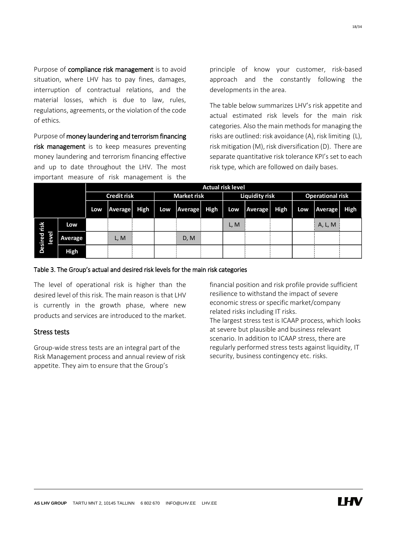Purpose of compliance risk management is to avoid situation, where LHV has to pay fines, damages, interruption of contractual relations, and the material losses, which is due to law, rules, regulations, agreements, or the violation of the code of ethics.

Purpose of money laundering and terrorism financing risk management is to keep measures preventing money laundering and terrorism financing effective and up to date throughout the LHV. The most important measure of risk management is the principle of know your customer, risk-based approach and the constantly following the developments in the area.

The table below summarizes LHV's risk appetite and actual estimated risk levels for the main risk categories. Also the main methods for managing the risks are outlined: risk avoidance (A), risk limiting (L), risk mitigation (M), risk diversification (D). There are separate quantitative risk tolerance KPI's set to each risk type, which are followed on daily bases.

|                                |             |                    | <b>Actual risk level</b> |                    |     |                       |             |      |                         |      |     |         |      |
|--------------------------------|-------------|--------------------|--------------------------|--------------------|-----|-----------------------|-------------|------|-------------------------|------|-----|---------|------|
|                                |             | <b>Credit risk</b> |                          | <b>Market risk</b> |     | <b>Liquidity risk</b> |             |      | <b>Operational risk</b> |      |     |         |      |
|                                |             | Low                | Average                  | High               | Low | Average               | <b>High</b> | Low  | <b>Average</b>          | High | Low | Average | High |
| risk                           | Low         |                    |                          |                    |     |                       |             | L, M |                         |      |     | A, L, M |      |
| Tel<br>Desired<br><b>Level</b> | Average     |                    | L, M                     |                    |     | D, M                  |             |      |                         |      |     |         |      |
|                                | <b>High</b> |                    |                          |                    |     |                       |             |      |                         |      |     |         |      |

#### Table 3. The Group's actual and desired risk levels for the main risk categories

The level of operational risk is higher than the desired level of this risk. The main reason is that LHV is currently in the growth phase, where new products and services are introduced to the market.

#### Stress tests

Group-wide stress tests are an integral part of the Risk Management process and annual review of risk appetite. They aim to ensure that the Group's

financial position and risk profile provide sufficient resilience to withstand the impact of severe economic stress or specific market/company related risks including IT risks. The largest stress test is ICAAP process, which looks at severe but plausible and business relevant scenario. In addition to ICAAP stress, there are regularly performed stress tests against liquidity, IT security, business contingency etc. risks.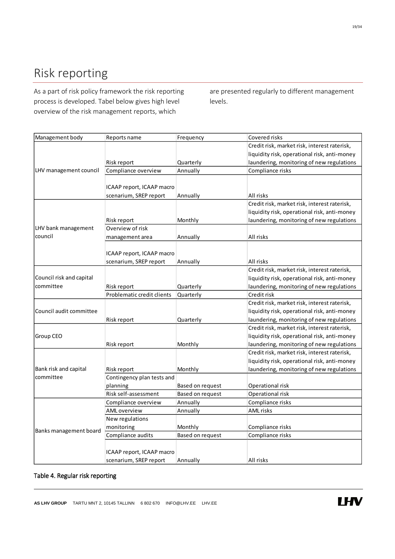# <span id="page-18-0"></span>Risk reporting

As a part of risk policy framework the risk reporting process is developed. Tabel below gives high level overview of the risk management reports, which

are presented regularly to different management levels.

| Management body          | Reports name               | Frequency        | Covered risks                                |
|--------------------------|----------------------------|------------------|----------------------------------------------|
|                          |                            |                  | Credit risk, market risk, interest raterisk, |
|                          |                            |                  | liquidity risk, operational risk, anti-money |
|                          | Risk report                | Quarterly        | laundering, monitoring of new regulations    |
| LHV management council   | Compliance overview        | Annually         | Compliance risks                             |
|                          |                            |                  |                                              |
|                          | ICAAP report, ICAAP macro  |                  |                                              |
|                          | scenarium, SREP report     | Annually         | All risks                                    |
|                          |                            |                  | Credit risk, market risk, interest raterisk, |
|                          |                            |                  | liquidity risk, operational risk, anti-money |
|                          | Risk report                | Monthly          | laundering, monitoring of new regulations    |
| LHV bank management      | Overview of risk           |                  |                                              |
| council                  | management area            | Annually         | All risks                                    |
|                          |                            |                  |                                              |
|                          | ICAAP report, ICAAP macro  |                  |                                              |
|                          | scenarium, SREP report     | Annually         | All risks                                    |
|                          |                            |                  | Credit risk, market risk, interest raterisk, |
| Council risk and capital |                            |                  | liquidity risk, operational risk, anti-money |
| committee                | Risk report                | Quarterly        | laundering, monitoring of new regulations    |
|                          | Problematic credit clients | Quarterly        | Credit risk                                  |
|                          |                            |                  | Credit risk, market risk, interest raterisk, |
| Council audit committee  |                            |                  | liquidity risk, operational risk, anti-money |
|                          | Risk report                | Quarterly        | laundering, monitoring of new regulations    |
|                          |                            |                  | Credit risk, market risk, interest raterisk, |
| Group CEO                |                            |                  | liquidity risk, operational risk, anti-money |
|                          | Risk report                | Monthly          | laundering, monitoring of new regulations    |
|                          |                            |                  | Credit risk, market risk, interest raterisk, |
|                          |                            |                  | liquidity risk, operational risk, anti-money |
| Bank risk and capital    | Risk report                | Monthly          | laundering, monitoring of new regulations    |
| committee                | Contingency plan tests and |                  |                                              |
|                          | planning                   | Based on request | Operational risk                             |
|                          | Risk self-assessment       | Based on request | Operational risk                             |
|                          | Compliance overview        | Annually         | Compliance risks                             |
|                          | AML overview               | Annually         | AML risks                                    |
|                          | New regulations            |                  |                                              |
| Banks management board   | monitoring                 | Monthly          | Compliance risks                             |
|                          | Compliance audits          | Based on request | Compliance risks                             |
|                          |                            |                  |                                              |
|                          | ICAAP report, ICAAP macro  |                  |                                              |
|                          | scenarium, SREP report     | Annually         | All risks                                    |

#### Table 4. Regular risk reporting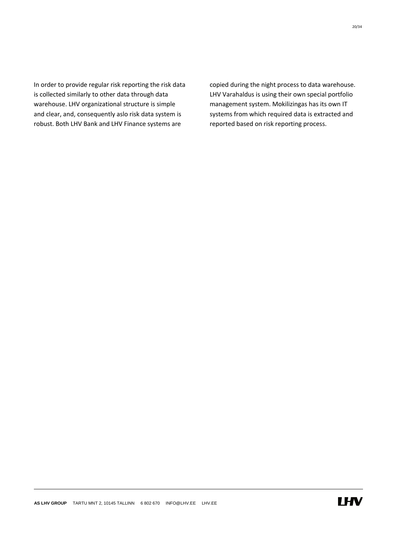In order to provide regular risk reporting the risk data is collected similarly to other data through data warehouse. LHV organizational structure is simple and clear, and, consequently aslo risk data system is robust. Both LHV Bank and LHV Finance systems are

copied during the night process to data warehouse. LHV Varahaldus is using their own special portfolio management system. Mokilizingas has its own IT systems from which required data is extracted and reported based on risk reporting process.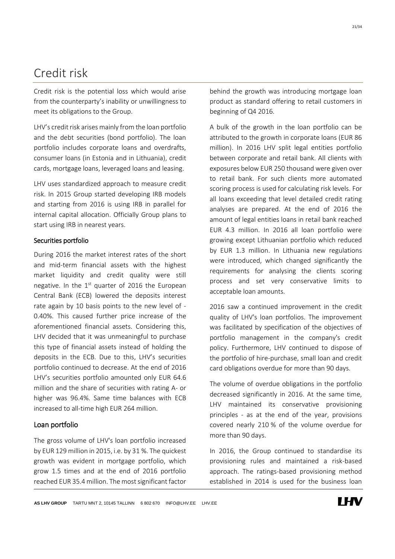# <span id="page-20-0"></span>Credit risk

Credit risk is the potential loss which would arise from the counterparty's inability or unwillingness to meet its obligations to the Group.

LHV's credit risk arises mainly from the loan portfolio and the debt securities (bond portfolio). The loan portfolio includes corporate loans and overdrafts, consumer loans (in Estonia and in Lithuania), credit cards, mortgage loans, leveraged loans and leasing.

LHV uses standardized approach to measure credit risk. In 2015 Group started developing IRB models and starting from 2016 is using IRB in parallel for internal capital allocation. Officially Group plans to start using IRB in nearest years.

#### Securities portfolio

During 2016 the market interest rates of the short and mid-term financial assets with the highest market liquidity and credit quality were still negative. In the  $1<sup>st</sup>$  quarter of 2016 the European Central Bank (ECB) lowered the deposits interest rate again by 10 basis points to the new level of - 0.40%. This caused further price increase of the aforementioned financial assets. Considering this, LHV decided that it was unmeaningful to purchase this type of financial assets instead of holding the deposits in the ECB. Due to this, LHV's securities portfolio continued to decrease. At the end of 2016 LHV's securities portfolio amounted only EUR 64.6 million and the share of securities with rating A- or higher was 96.4%. Same time balances with ECB increased to all-time high EUR 264 million.

#### Loan portfolio

The gross volume of LHV's loan portfolio increased by EUR 129 million in 2015, i.e. by 31 %. The quickest growth was evident in mortgage portfolio, which grow 1.5 times and at the end of 2016 portfolio reached EUR 35.4 million. The most significant factor behind the growth was introducing mortgage loan product as standard offering to retail customers in beginning of Q4 2016.

A bulk of the growth in the loan portfolio can be attributed to the growth in corporate loans (EUR 86 million). In 2016 LHV split legal entities portfolio between corporate and retail bank. All clients with exposures below EUR 250 thousand were given over to retail bank. For such clients more automated scoring process is used for calculating risk levels. For all loans exceeding that level detailed credit rating analyses are prepared. At the end of 2016 the amount of legal entities loans in retail bank reached EUR 4.3 million. In 2016 all loan portfolio were growing except Lithuanian portfolio which reduced by EUR 1.3 million. In Lithuania new regulations were introduced, which changed significantly the requirements for analysing the clients scoring process and set very conservative limits to acceptable loan amounts.

2016 saw a continued improvement in the credit quality of LHV's loan portfolios. The improvement was facilitated by specification of the objectives of portfolio management in the company's credit policy. Furthermore, LHV continued to dispose of the portfolio of hire-purchase, small loan and credit card obligations overdue for more than 90 days.

The volume of overdue obligations in the portfolio decreased significantly in 2016. At the same time, LHV maintained its conservative provisioning principles - as at the end of the year, provisions covered nearly 210 % of the volume overdue for more than 90 days.

In 2016, the Group continued to standardise its provisioning rules and maintained a risk-based approach. The ratings-based provisioning method established in 2014 is used for the business loan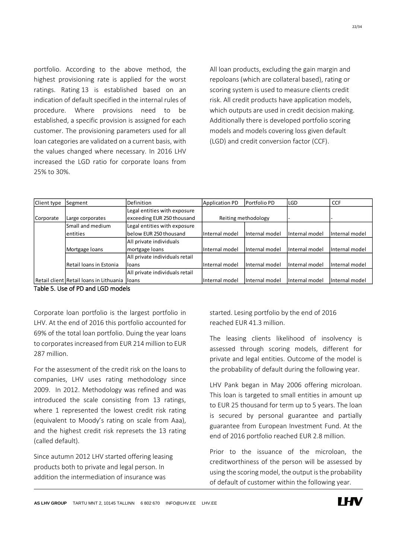portfolio. According to the above method, the highest provisioning rate is applied for the worst ratings. Rating 13 is established based on an indication of default specified in the internal rules of procedure. Where provisions need to be established, a specific provision is assigned for each customer. The provisioning parameters used for all loan categories are validated on a current basis, with the values changed where necessary. In 2016 LHV increased the LGD ratio for corporate loans from 25% to 30%.

All loan products, excluding the gain margin and repoloans (which are collateral based), rating or scoring system is used to measure clients credit risk. All credit products have application models, which outputs are used in credit decision making. Additionally there is developed portfolio scoring models and models covering loss given default (LGD) and credit conversion factor (CCF).

| Client type | Segment                                        | Definition                     | <b>Application PD</b> | Portfolio PD        | <b>LGD</b>     | <b>CCF</b>     |
|-------------|------------------------------------------------|--------------------------------|-----------------------|---------------------|----------------|----------------|
|             |                                                | Legal entities with exposure   |                       |                     |                |                |
| Corporate   | Large corporates                               | exceeding EUR 250 thousand     |                       | Reiting methodology |                |                |
|             | Small and medium                               | Legal entities with exposure   |                       |                     |                |                |
|             | lentities                                      | below EUR 250 thousand         | Internal model        | Internal model      | Internal model | Internal model |
|             |                                                | All private individuals        |                       |                     |                |                |
|             | Mortgage loans                                 | mortgage loans                 | Internal model        | Internal model      | Internal model | Internal model |
|             |                                                | All private individuals retail |                       |                     |                |                |
|             | Retail Ioans in Estonia                        | <b>Iloans</b>                  | Internal model        | Internal model      | Internal model | Internal model |
|             |                                                | All private individuals retail |                       |                     |                |                |
|             | Retail client Retail Ioans in Lithuania lloans |                                | Internal model        | Internal model      | Internal model | Internal model |

Table 5. Use of PD and LGD models

Corporate loan portfolio is the largest portfolio in LHV. At the end of 2016 this portfolio accounted for 69% of the total loan portfolio. Duing the year loans to corporates increased from EUR 214 million to EUR 287 million.

For the assessment of the credit risk on the loans to companies, LHV uses rating methodology since 2009. In 2012. Methodology was refined and was introduced the scale consisting from 13 ratings, where 1 represented the lowest credit risk rating (equivalent to Moody's rating on scale from Aaa), and the highest credit risk represets the 13 rating (called default).

Since autumn 2012 LHV started offering leasing products both to private and legal person. In addition the intermediation of insurance was

started. Lesing portfolio by the end of 2016 reached EUR 41.3 million.

The leasing clients likelihood of insolvency is assessed through scoring models, different for private and legal entities. Outcome of the model is the probability of default during the following year.

LHV Pank began in May 2006 offering microloan. This loan is targeted to small entities in amount up to EUR 25 thousand for term up to 5 years. The loan is secured by personal guarantee and partially guarantee from European Investment Fund. At the end of 2016 portfolio reached EUR 2.8 million.

Prior to the issuance of the microloan, the creditworthiness of the person will be assessed by using the scoring model, the output is the probability of default of customer within the following year.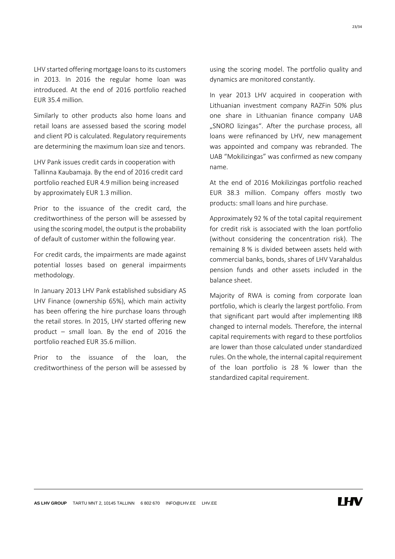LHV started offering mortgage loans to its customers in 2013. In 2016 the regular home loan was introduced. At the end of 2016 portfolio reached EUR 35.4 million.

Similarly to other products also home loans and retail loans are assessed based the scoring model and client PD is calculated. Regulatory requirements are determining the maximum loan size and tenors.

LHV Pank issues credit cards in cooperation with Tallinna Kaubamaja. By the end of 2016 credit card portfolio reached EUR 4.9 million being increased by approximately EUR 1.3 million.

Prior to the issuance of the credit card, the creditworthiness of the person will be assessed by using the scoring model, the output is the probability of default of customer within the following year.

For credit cards, the impairments are made against potential losses based on general impairments methodology.

In January 2013 LHV Pank established subsidiary AS LHV Finance (ownership 65%), which main activity has been offering the hire purchase loans through the retail stores. In 2015, LHV started offering new product – small loan. By the end of 2016 the portfolio reached EUR 35.6 million.

Prior to the issuance of the loan, the creditworthiness of the person will be assessed by using the scoring model. The portfolio quality and dynamics are monitored constantly.

In year 2013 LHV acquired in cooperation with Lithuanian investment company RAZFin 50% plus one share in Lithuanian finance company UAB "SNORO lizingas". After the purchase process, all loans were refinanced by LHV, new management was appointed and company was rebranded. The UAB "Mokilizingas" was confirmed as new company name.

At the end of 2016 Mokilizingas portfolio reached EUR 38.3 million. Company offers mostly two products: small loans and hire purchase.

Approximately 92 % of the total capital requirement for credit risk is associated with the loan portfolio (without considering the concentration risk). The remaining 8 % is divided between assets held with commercial banks, bonds, shares of LHV Varahaldus pension funds and other assets included in the balance sheet.

Majority of RWA is coming from corporate loan portfolio, which is clearly the largest portfolio. From that significant part would after implementing IRB changed to internal models. Therefore, the internal capital requirements with regard to these portfolios are lower than those calculated under standardized rules. On the whole, the internal capital requirement of the loan portfolio is 28 % lower than the standardized capital requirement.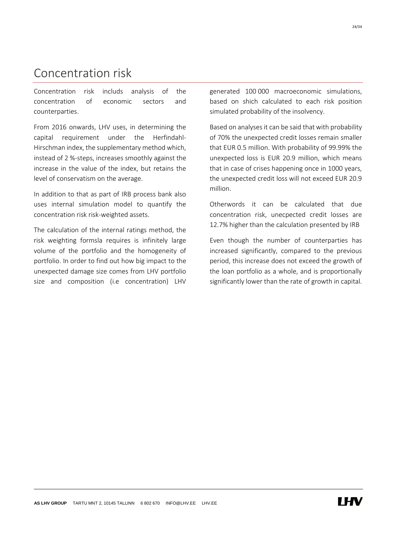## <span id="page-23-0"></span>Concentration risk

Concentration risk includs analysis of the concentration of economic sectors and counterparties.

From 2016 onwards, LHV uses, in determining the capital requirement under the Herfindahl-Hirschman index, the supplementary method which, instead of 2 %-steps, increases smoothly against the increase in the value of the index, but retains the level of conservatism on the average.

In addition to that as part of IRB process bank also uses internal simulation model to quantify the concentration risk risk-weighted assets.

The calculation of the internal ratings method, the risk weighting formsla requires is infinitely large volume of the portfolio and the homogeneity of portfolio. In order to find out how big impact to the unexpected damage size comes from LHV portfolio size and composition (i.e concentration) LHV generated 100 000 macroeconomic simulations, based on shich calculated to each risk position simulated probability of the insolvency.

Based on analyses it can be said that with probability of 70% the unexpected credit losses remain smaller that EUR 0.5 million. With probability of 99.99% the unexpected loss is EUR 20.9 million, which means that in case of crises happening once in 1000 years, the unexpected credit loss will not exceed EUR 20.9 million.

Otherwords it can be calculated that due concentration risk, unecpected credit losses are 12.7% higher than the calculation presented by IRB

Even though the number of counterparties has increased significantly, compared to the previous period, this increase does not exceed the growth of the loan portfolio as a whole, and is proportionally significantly lower than the rate of growth in capital.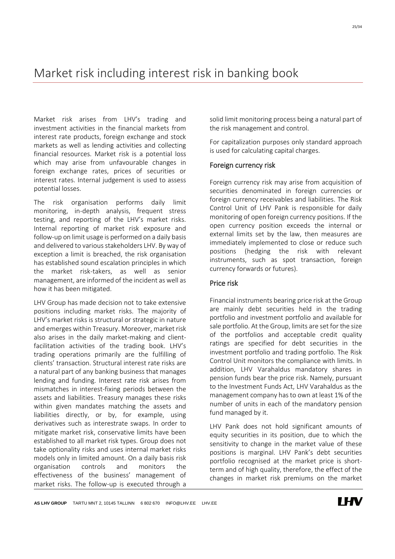### <span id="page-24-0"></span>Market risk including interest risk in banking book

Market risk arises from LHV's trading and investment activities in the financial markets from interest rate products, foreign exchange and stock markets as well as lending activities and collecting financial resources. Market risk is a potential loss which may arise from unfavourable changes in foreign exchange rates, prices of securities or interest rates. Internal judgement is used to assess potential losses.

The risk organisation performs daily limit monitoring, in-depth analysis, frequent stress testing, and reporting of the LHV's market risks. Internal reporting of market risk exposure and follow-up on limit usage is performed on a daily basis and delivered to various stakeholders LHV. By way of exception a limit is breached, the risk organisation has established sound escalation principles in which the market risk-takers, as well as senior management, are informed of the incident as well as how it has been mitigated.

LHV Group has made decision not to take extensive positions including market risks. The majority of LHV's market risks is structural or strategic in nature and emerges within Treasury. Moreover, market risk also arises in the daily market-making and clientfacilitation activities of the trading book. LHV's trading operations primarily are the fulfilling of clients' transaction. Structural interest rate risks are a natural part of any banking business that manages lending and funding. Interest rate risk arises from mismatches in interest-fixing periods between the assets and liabilities. Treasury manages these risks within given mandates matching the assets and liabilities directly, or by, for example, using derivatives such as interestrate swaps. In order to mitigate market risk, conservative limits have been established to all market risk types. Group does not take optionality risks and uses internal market risks models only in limited amount. On a daily basis risk organisation controls and monitors the effectiveness of the business' management of market risks. The follow-up is executed through a solid limit monitoring process being a natural part of the risk management and control.

For capitalization purposes only standard approach is used for calculating capital charges.

#### Foreign currency risk

Foreign currency risk may arise from acquisition of securities denominated in foreign currencies or foreign currency receivables and liabilities. The Risk Control Unit of LHV Pank is responsible for daily monitoring of open foreign currency positions. If the open currency position exceeds the internal or external limits set by the law, then measures are immediately implemented to close or reduce such positions (hedging the risk with relevant instruments, such as spot transaction, foreign currency forwards or futures).

#### Price risk

Financial instruments bearing price risk at the Group are mainly debt securities held in the trading portfolio and investment portfolio and available for sale portfolio. At the Group, limits are set for the size of the portfolios and acceptable credit quality ratings are specified for debt securities in the investment portfolio and trading portfolio. The Risk Control Unit monitors the compliance with limits. In addition, LHV Varahaldus mandatory shares in pension funds bear the price risk. Namely, pursuant to the Investment Funds Act, LHV Varahaldus as the management company has to own at least 1% of the number of units in each of the mandatory pension fund managed by it.

LHV Pank does not hold significant amounts of equity securities in its position, due to which the sensitivity to change in the market value of these positions is marginal. LHV Pank's debt securities portfolio recognised at the market price is shortterm and of high quality, therefore, the effect of the changes in market risk premiums on the market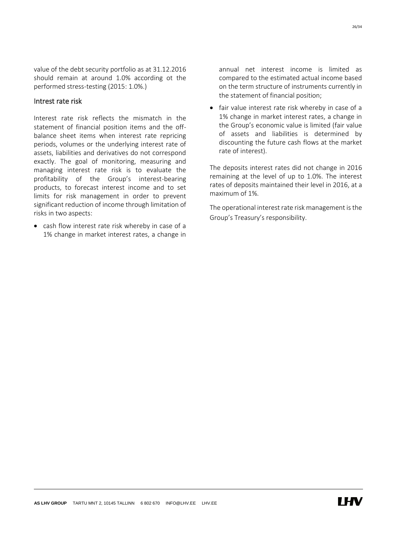value of the debt security portfolio as at 31.12.2016 should remain at around 1.0% according ot the performed stress-testing (2015: 1.0%.)

#### Intrest rate risk

Interest rate risk reflects the mismatch in the statement of financial position items and the offbalance sheet items when interest rate repricing periods, volumes or the underlying interest rate of assets, liabilities and derivatives do not correspond exactly. The goal of monitoring, measuring and managing interest rate risk is to evaluate the profitability of the Group's interest-bearing products, to forecast interest income and to set limits for risk management in order to prevent significant reduction of income through limitation of risks in two aspects:

 cash flow interest rate risk whereby in case of a 1% change in market interest rates, a change in annual net interest income is limited as compared to the estimated actual income based on the term structure of instruments currently in the statement of financial position;

• fair value interest rate risk whereby in case of a 1% change in market interest rates, a change in the Group's economic value is limited (fair value of assets and liabilities is determined by discounting the future cash flows at the market rate of interest).

The deposits interest rates did not change in 2016 remaining at the level of up to 1.0%. The interest rates of deposits maintained their level in 2016, at a maximum of 1%.

The operational interest rate risk management is the Group's Treasury's responsibility.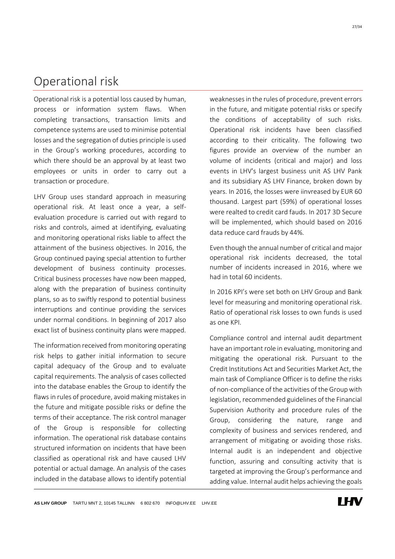### <span id="page-26-0"></span>Operational risk

Operational risk is a potential loss caused by human, process or information system flaws. When completing transactions, transaction limits and competence systems are used to minimise potential losses and the segregation of duties principle is used in the Group's working procedures, according to which there should be an approval by at least two employees or units in order to carry out a transaction or procedure.

LHV Group uses standard approach in measuring operational risk. At least once a year, a selfevaluation procedure is carried out with regard to risks and controls, aimed at identifying, evaluating and monitoring operational risks liable to affect the attainment of the business objectives. In 2016, the Group continued paying special attention to further development of business continuity processes. Critical business processes have now been mapped, along with the preparation of business continuity plans, so as to swiftly respond to potential business interruptions and continue providing the services under normal conditions. In beginning of 2017 also exact list of business continuity plans were mapped.

The information received from monitoring operating risk helps to gather initial information to secure capital adequacy of the Group and to evaluate capital requirements. The analysis of cases collected into the database enables the Group to identify the flaws in rules of procedure, avoid making mistakes in the future and mitigate possible risks or define the terms of their acceptance. The risk control manager of the Group is responsible for collecting information. The operational risk database contains structured information on incidents that have been classified as operational risk and have caused LHV potential or actual damage. An analysis of the cases included in the database allows to identify potential in the future, and mitigate potential risks or specify the conditions of acceptability of such risks. Operational risk incidents have been classified according to their criticality. The following two figures provide an overview of the number an volume of incidents (critical and major) and loss events in LHV's largest business unit AS LHV Pank and its subsidiary AS LHV Finance, broken down by years. In 2016, the losses were iinvreased by EUR 60 thousand. Largest part (59%) of operational losses were realted to credit card fauds. In 2017 3D Secure will be implemented, which should based on 2016 data reduce card frauds by 44%. Even though the annual number of critical and major

weaknesses in the rules of procedure, prevent errors

operational risk incidents decreased, the total number of incidents increased in 2016, where we had in total 60 incidents.

In 2016 KPI's were set both on LHV Group and Bank level for measuring and monitoring operational risk. Ratio of operational risk losses to own funds is used as one KPI.

Compliance control and internal audit department have an important role in evaluating, monitoring and mitigating the operational risk. Pursuant to the Credit Institutions Act and Securities Market Act, the main task of Compliance Officer is to define the risks of non-compliance of the activities of the Group with legislation, recommended guidelines of the Financial Supervision Authority and procedure rules of the Group, considering the nature, range and complexity of business and services rendered, and arrangement of mitigating or avoiding those risks. Internal audit is an independent and objective function, assuring and consulting activity that is targeted at improving the Group's performance and adding value. Internal audit helps achieving the goals

**LHV**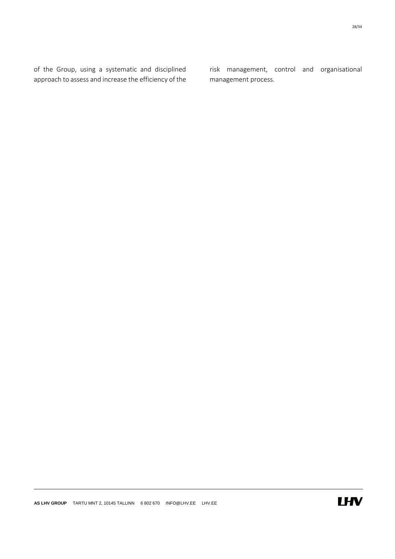of the Group, using a systematic and disciplined approach to assess and increase the efficiency of the risk management, control and organisational management process.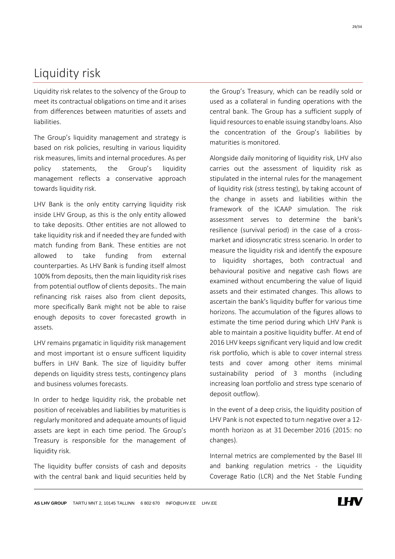## <span id="page-28-0"></span>Liquidity risk

Liquidity risk relates to the solvency of the Group to meet its contractual obligations on time and it arises from differences between maturities of assets and liabilities.

The Group's liquidity management and strategy is based on risk policies, resulting in various liquidity risk measures, limits and internal procedures. As per policy statements, the Group's liquidity management reflects a conservative approach towards liquidity risk.

LHV Bank is the only entity carrying liquidity risk inside LHV Group, as this is the only entity allowed to take deposits. Other entities are not allowed to take liquidity risk and if needed they are funded with match funding from Bank. These entities are not allowed to take funding from external counterparties. As LHV Bank is funding itself almost 100% from deposits, then the main liquidity risk rises from potential outflow of clients deposits.. The main refinancing risk raises also from client deposits, more specifically Bank might not be able to raise enough deposits to cover forecasted growth in assets.

LHV remains prgamatic in liquidity risk management and most important ist o ensure sufficent liquidity buffers in LHV Bank. The size of liquidity buffer depends on liquidity stress tests, contingency plans and business volumes forecasts.

In order to hedge liquidity risk, the probable net position of receivables and liabilities by maturities is regularly monitored and adequate amounts of liquid assets are kept in each time period. The Group's Treasury is responsible for the management of liquidity risk.

The liquidity buffer consists of cash and deposits with the central bank and liquid securities held by the Group's Treasury, which can be readily sold or used as a collateral in funding operations with the central bank. The Group has a sufficient supply of liquid resources to enable issuing standby loans. Also the concentration of the Group's liabilities by maturities is monitored.

Alongside daily monitoring of liquidity risk, LHV also carries out the assessment of liquidity risk as stipulated in the internal rules for the management of liquidity risk (stress testing), by taking account of the change in assets and liabilities within the framework of the ICAAP simulation. The risk assessment serves to determine the bank's resilience (survival period) in the case of a crossmarket and idiosyncratic stress scenario. In order to measure the liquidity risk and identify the exposure to liquidity shortages, both contractual and behavioural positive and negative cash flows are examined without encumbering the value of liquid assets and their estimated changes. This allows to ascertain the bank's liquidity buffer for various time horizons. The accumulation of the figures allows to estimate the time period during which LHV Pank is able to maintain a positive liquidity buffer. At end of 2016 LHV keeps significant very liquid and low credit risk portfolio, which is able to cover internal stress tests and cover among other items minimal sustainability period of 3 months (including increasing loan portfolio and stress type scenario of deposit outflow).

In the event of a deep crisis, the liquidity position of LHV Pank is not expected to turn negative over a 12 month horizon as at 31 December 2016 (2015: no changes).

Internal metrics are complemented by the Basel III and banking regulation metrics - the Liquidity Coverage Ratio (LCR) and the Net Stable Funding

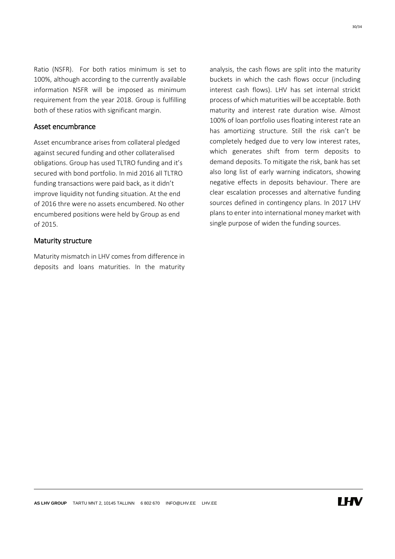Ratio (NSFR). For both ratios minimum is set to 100%, although according to the currently available information NSFR will be imposed as minimum requirement from the year 2018. Group is fulfilling both of these ratios with significant margin.

#### Asset encumbrance

Asset encumbrance arises from collateral pledged against secured funding and other collateralised obligations. Group has used TLTRO funding and it's secured with bond portfolio. In mid 2016 all TLTRO funding transactions were paid back, as it didn't improve liquidity not funding situation. At the end of 2016 thre were no assets encumbered. No other encumbered positions were held by Group as end of 2015.

#### Maturity structure

Maturity mismatch in LHV comes from difference in deposits and loans maturities. In the maturity analysis, the cash flows are split into the maturity buckets in which the cash flows occur (including interest cash flows). LHV has set internal strickt process of which maturities will be acceptable. Both maturity and interest rate duration wise. Almost 100% of loan portfolio uses floating interest rate an has amortizing structure. Still the risk can't be completely hedged due to very low interest rates, which generates shift from term deposits to demand deposits. To mitigate the risk, bank has set also long list of early warning indicators, showing negative effects in deposits behaviour. There are clear escalation processes and alternative funding sources defined in contingency plans. In 2017 LHV plans to enter into international money market with single purpose of widen the funding sources.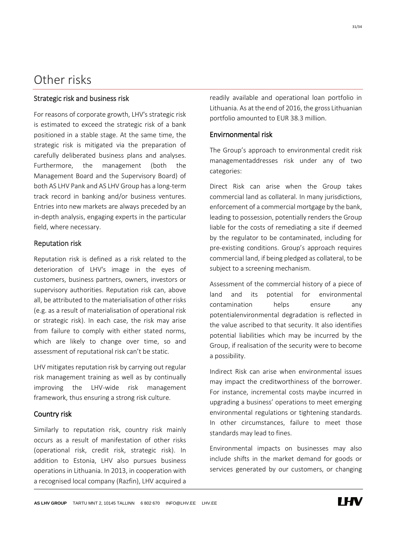### <span id="page-30-0"></span>Other risks

#### Strategic risk and business risk

For reasons of corporate growth, LHV's strategic risk is estimated to exceed the strategic risk of a bank positioned in a stable stage. At the same time, the strategic risk is mitigated via the preparation of carefully deliberated business plans and analyses. Furthermore, the management (both the Management Board and the Supervisory Board) of both AS LHV Pank and AS LHV Group has a long-term track record in banking and/or business ventures. Entries into new markets are always preceded by an in-depth analysis, engaging experts in the particular field, where necessary.

#### Reputation risk

Reputation risk is defined as a risk related to the deterioration of LHV's image in the eyes of customers, business partners, owners, investors or supervisory authorities. Reputation risk can, above all, be attributed to the materialisation of other risks (e.g. as a result of materialisation of operational risk or strategic risk). In each case, the risk may arise from failure to comply with either stated norms, which are likely to change over time, so and assessment of reputational risk can't be static.

LHV mitigates reputation risk by carrying out regular risk management training as well as by continually improving the LHV-wide risk management framework, thus ensuring a strong risk culture.

#### Country risk

Similarly to reputation risk, country risk mainly occurs as a result of manifestation of other risks (operational risk, credit risk, strategic risk). In addition to Estonia, LHV also pursues business operations in Lithuania. In 2013, in cooperation with a recognised local company (Razfin), LHV acquired a readily available and operational loan portfolio in Lithuania. As at the end of 2016, the gross Lithuanian portfolio amounted to EUR 38.3 million.

#### Envirnonmental risk

The Group's approach to environmental credit risk managementaddresses risk under any of two categories:

Direct Risk can arise when the Group takes commercial land as collateral. In many jurisdictions, enforcement of a commercial mortgage by the bank, leading to possession, potentially renders the Group liable for the costs of remediating a site if deemed by the regulator to be contaminated, including for pre-existing conditions. Group's approach requires commercial land, if being pledged as collateral, to be subject to a screening mechanism.

Assessment of the commercial history of a piece of land and its potential for environmental contamination helps ensure any potentialenvironmental degradation is reflected in the value ascribed to that security. It also identifies potential liabilities which may be incurred by the Group, if realisation of the security were to become a possibility.

Indirect Risk can arise when environmental issues may impact the creditworthiness of the borrower. For instance, incremental costs maybe incurred in upgrading a business' operations to meet emerging environmental regulations or tightening standards. In other circumstances, failure to meet those standards may lead to fines.

Environmental impacts on businesses may also include shifts in the market demand for goods or services generated by our customers, or changing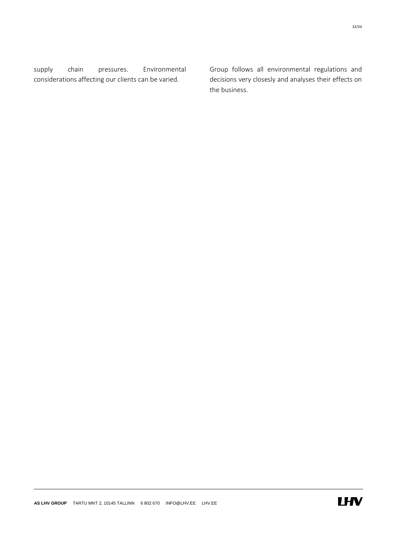supply chain pressures. Environmental considerations affecting our clients can be varied.

Group follows all environmental regulations and decisions very closesly and analyses their effects on the business.

32/34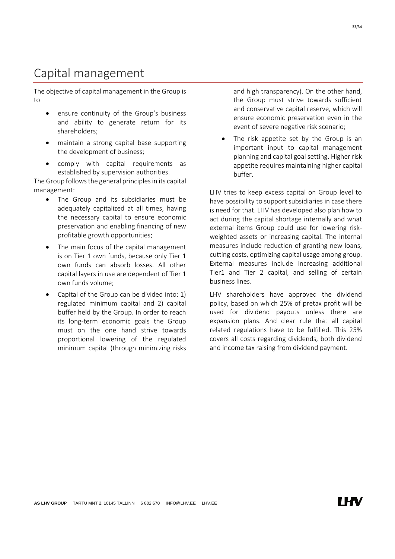# <span id="page-32-0"></span>Capital management

The objective of capital management in the Group is to

- ensure continuity of the Group's business and ability to generate return for its shareholders;
- maintain a strong capital base supporting the development of business;
- comply with capital requirements as established by supervision authorities.

The Group follows the general principles in its capital management:

- The Group and its subsidiaries must be adequately capitalized at all times, having the necessary capital to ensure economic preservation and enabling financing of new profitable growth opportunities;
- The main focus of the capital management is on Tier 1 own funds, because only Tier 1 own funds can absorb losses. All other capital layers in use are dependent of Tier 1 own funds volume;
- Capital of the Group can be divided into: 1) regulated minimum capital and 2) capital buffer held by the Group. In order to reach its long-term economic goals the Group must on the one hand strive towards proportional lowering of the regulated minimum capital (through minimizing risks

and high transparency). On the other hand, the Group must strive towards sufficient and conservative capital reserve, which will ensure economic preservation even in the event of severe negative risk scenario;

 The risk appetite set by the Group is an important input to capital management planning and capital goal setting. Higher risk appetite requires maintaining higher capital buffer.

LHV tries to keep excess capital on Group level to have possibility to support subsidiaries in case there is need for that. LHV has developed also plan how to act during the capital shortage internally and what external items Group could use for lowering riskweighted assets or increasing capital. The internal measures include reduction of granting new loans, cutting costs, optimizing capital usage among group. External measures include increasing additional Tier1 and Tier 2 capital, and selling of certain business lines.

LHV shareholders have approved the dividend policy, based on which 25% of pretax profit will be used for dividend payouts unless there are expansion plans. And clear rule that all capital related regulations have to be fulfilled. This 25% covers all costs regarding dividends, both dividend and income tax raising from dividend payment.